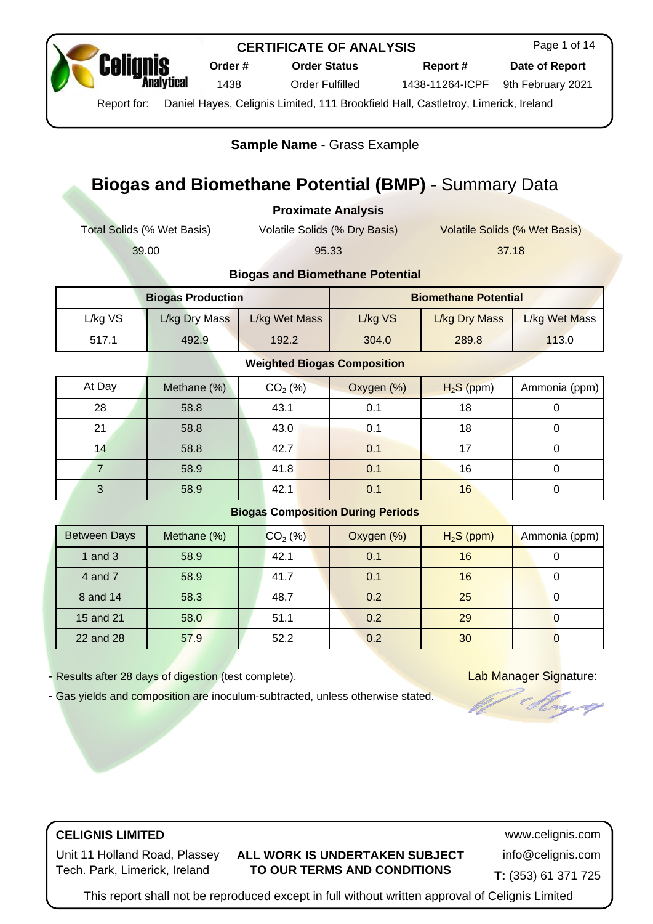

**Order # Order Status Report # Date of Report**

Page 1 of 14

1438 Order Fulfilled 1438-11264-ICPF 9th February 2021

Report for: Daniel Hayes, Celignis Limited, 111 Brookfield Hall, Castletroy, Limerick, Ireland

**Sample Name** - [Grass Example](https://www.celignis.com/output/biogas_view?editid1=276)

# **Biogas and Biomethane Potential (BMP)** - Summary Data

**Proximate Analysis**

Total Solids (% Wet Basis) Volatile Solids (% Dry Basis) Volatile Solids (% Wet Basis)

39.00 95.33 37.18

#### **Biogas and Biomethane Potential**

| <b>Biogas Production</b> |               |               | <b>Biomethane Potential</b> |               |       |  |
|--------------------------|---------------|---------------|-----------------------------|---------------|-------|--|
| L/kg VS                  | L/kg Dry Mass | L/kg Wet Mass | L/kg VS                     | L/kg Wet Mass |       |  |
| 517.1                    | 492.9         | 192.2         | 304.0                       | 289.8         | 113.0 |  |

#### **Weighted Biogas Composition**

| At Day | Methane (%) | $CO2$ (%) | Oxygen (%) | $H_2S$ (ppm) | Ammonia (ppm) |
|--------|-------------|-----------|------------|--------------|---------------|
| 28     | 58.8        | 43.1      | 0.1        | 18           |               |
| 21     | 58.8        | 43.0      | 0.1        | 18           |               |
| 14     | 58.8        | 42.7      | 0.1        | 17           |               |
|        | 58.9        | 41.8      | 0.1        | 16           |               |
|        | 58.9        | 42.1      | 0.1        | 16           |               |

#### **Biogas Composition During Periods**

| <b>Between Days</b> | Methane (%) | $CO2$ (%) | Oxygen (%) | $H_2S$ (ppm) | Ammonia (ppm) |
|---------------------|-------------|-----------|------------|--------------|---------------|
| 1 and $3$           | 58.9        | 42.1      | 0.1        | 16           |               |
| 4 and 7             | 58.9        | 41.7      | 0.1        | 16           |               |
| 8 and 14            | 58.3        | 48.7      | 0.2        | 25           |               |
| 15 and 21           | 58.0        | 51.1      | 0.2        | 29           |               |
| 22 and 28           | 57.9        | 52.2      | 0.2        | 30           |               |

- Results after 28 days of digestion (test complete). Lab Manager Signature:

yez

- Gas yields and composition are inoculum-subtracted, unless otherwise stated.

# **CELIGNIS LIMITED** www.celignis.com

Unit 11 Holland Road, Plassey Tech. Park, Limerick, Ireland

### **ALL WORK IS UNDERTAKEN SUBJECT TO OUR TERMS AND CONDITIONS**

info@celignis.com

**T:** (353) 61 371 725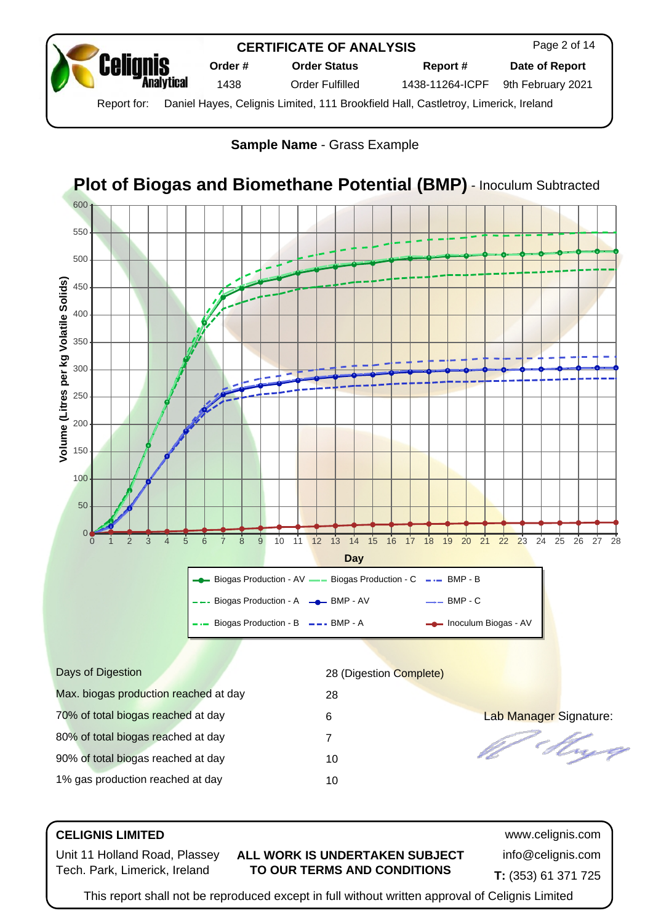

**Sample Name** - [Grass Example](https://www.celignis.com/output/biogas_view?editid1=276)



## **CELIGNIS LIMITED** www.celignis.com

Unit 11 Holland Road, Plassey Tech. Park, Limerick, Ireland

#### **ALL WORK IS UNDERTAKEN SUBJECT TO OUR TERMS AND CONDITIONS**

info@celignis.com **T:** (353) 61 371 725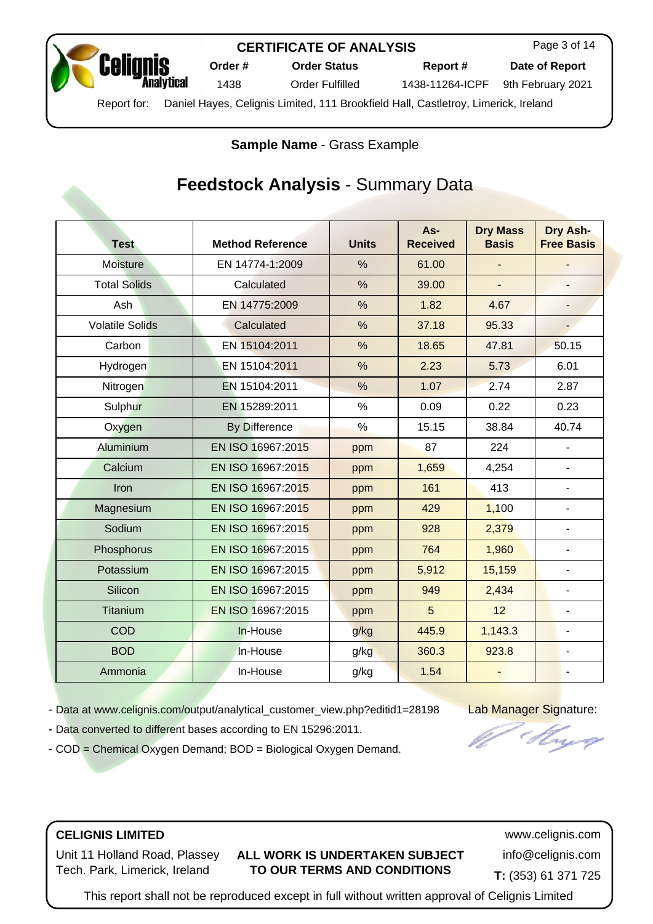

Page 3 of 14

**Order # Order Status Report # Date of Report**

1438 Order Fulfilled 1438-11264-ICPF 9th February 2021

Report for: Daniel Hayes, Celignis Limited, 111 Brookfield Hall, Castletroy, Limerick, Ireland

**Sample Name** - [Grass Example](https://www.celignis.com/output/analytical_customer_view?editid1=28198)

# **Feedstock Analysis** - Summary Data

| <b>Test</b>            | <b>Method Reference</b> | <b>Units</b>  | As-<br><b>Received</b> | <b>Dry Mass</b><br><b>Basis</b> | Dry Ash-<br><b>Free Basis</b> |
|------------------------|-------------------------|---------------|------------------------|---------------------------------|-------------------------------|
| <b>Moisture</b>        | EN 14774-1:2009         | $\frac{0}{0}$ | 61.00                  |                                 |                               |
| <b>Total Solids</b>    | Calculated              | $\%$          | 39.00                  | ä,                              |                               |
| Ash                    | EN 14775:2009           | %             | 1.82                   | 4.67                            | $\overline{\phantom{0}}$      |
| <b>Volatile Solids</b> | Calculated              | %             | 37.18                  | 95.33                           | н,                            |
| Carbon                 | EN 15104:2011           | $\frac{0}{0}$ | 18.65                  | 47.81                           | 50.15                         |
| Hydrogen               | EN 15104:2011           | $\frac{0}{0}$ | 2.23                   | 5.73                            | 6.01                          |
| Nitrogen               | EN 15104:2011           | $\frac{0}{0}$ | 1.07                   | 2.74                            | 2.87                          |
| Sulphur                | EN 15289:2011           | $\%$          | 0.09                   | 0.22                            | 0.23                          |
| Oxygen                 | <b>By Difference</b>    | $\frac{9}{6}$ | 15.15                  | 38.84                           | 40.74                         |
| Aluminium              | EN ISO 16967:2015       | ppm           | 87                     | 224                             |                               |
| Calcium                | EN ISO 16967:2015       | ppm           | 1,659                  | 4,254                           | ÷,                            |
| Iron                   | EN ISO 16967:2015       | ppm           | 161                    | 413                             | ÷,                            |
| Magnesium              | EN ISO 16967:2015       | ppm           | 429                    | 1,100                           | ä,                            |
| Sodium                 | EN ISO 16967:2015       | ppm           | 928                    | 2,379                           | $\overline{\phantom{0}}$      |
| Phosphorus             | EN ISO 16967:2015       | ppm           | 764                    | 1,960                           | $\overline{\phantom{0}}$      |
| Potassium              | EN ISO 16967:2015       | ppm           | 5,912                  | 15,159                          | ÷,                            |
| Silicon                | EN ISO 16967:2015       | ppm           | 949                    | 2,434                           | ÷,                            |
| <b>Titanium</b>        | EN ISO 16967:2015       | ppm           | 5                      | 12                              | ۰                             |
| COD                    | In-House                | g/kg          | 445.9                  | 1,143.3                         | ä,                            |
| <b>BOD</b>             | In-House                | g/kg          | 360.3                  | 923.8                           | $\qquad \qquad \blacksquare$  |
| Ammonia                | In-House                | g/kg          | 1.54                   |                                 | L,                            |

- Data at [www.celignis.com/output/analytical\\_customer\\_view.php?editid1=28198](https://www.celignis.com/output/analytical_customer_view.php?editid1=28198) Lab Manager Signature:

- Data converted to different bases according to EN 15296:2011.

- [COD = Chemical Oxygen Demand;](https://www.celignis.com/analyte.php?value=142) [BOD = Biological Oxygen Demand](https://www.celignis.com/analyte.php?value=143).

## **CELIGNIS LIMITED** www.celignis.com

Unit 11 Holland Road, Plassey Tech. Park, Limerick, Ireland

#### **ALL WORK IS UNDERTAKEN SUBJECT TO OUR TERMS AND CONDITIONS**

info@celignis.com **T:** (353) 61 371 725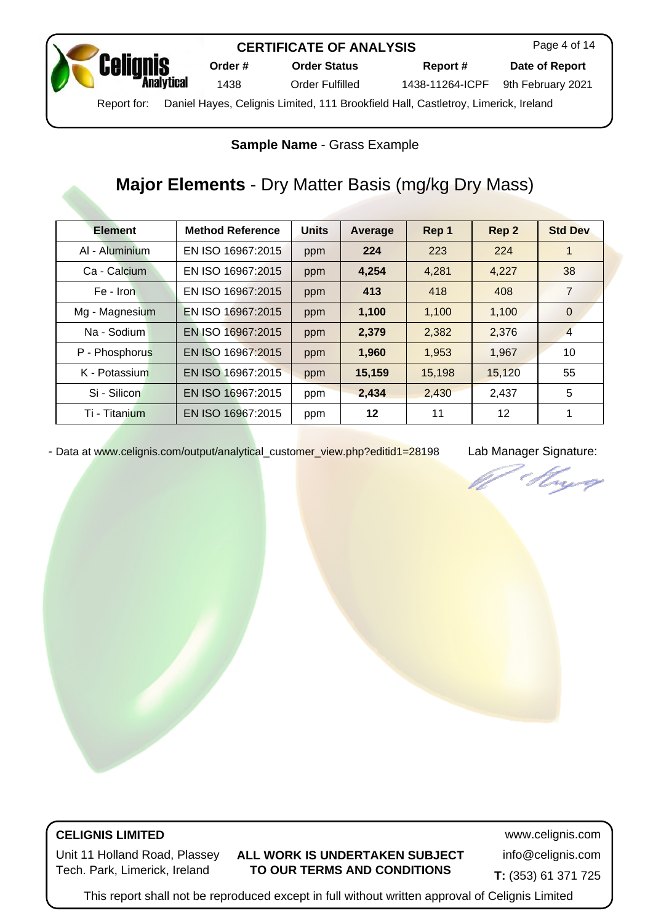| <b>Celignis</b>                 |              | Or |
|---------------------------------|--------------|----|
| $D_{\alpha\alpha\alpha\mu}$ for | Doniel House |    |

**Order # Order Status Report # Date of Report**

Page 4 of 14

1438 Order Fulfilled 1438-11264-ICPF 9th February 2021

Report for: Daniel Hayes, Celignis Limited, 111 Brookfield Hall, Castletroy, Limerick, Ireland

## **Sample Name** - [Grass Example](https://www.celignis.com/output/analytical_customer_view?editid1=28198)

# **Major Elements** - Dry Matter Basis (mg/kg Dry Mass)

| <b>Element</b> | <b>Method Reference</b> | <b>Units</b> | Average | Rep 1  | Rep 2  | <b>Std Dev</b> |
|----------------|-------------------------|--------------|---------|--------|--------|----------------|
| AI - Aluminium | EN ISO 16967:2015       | ppm          | 224     | 223    | 224    | 1              |
| Ca - Calcium   | EN ISO 16967:2015       | ppm          | 4,254   | 4,281  | 4,227  | 38             |
| Fe - Iron      | EN ISO 16967:2015       | ppm          | 413     | 418    | 408    | 7              |
| Mg - Magnesium | EN ISO 16967:2015       | ppm          | 1,100   | 1,100  | 1,100  | $\Omega$       |
| Na - Sodium    | EN ISO 16967:2015       | ppm          | 2,379   | 2,382  | 2,376  | $\overline{4}$ |
| P - Phosphorus | EN ISO 16967:2015       | ppm          | 1,960   | 1,953  | 1,967  | 10             |
| K - Potassium  | EN ISO 16967:2015       | ppm          | 15,159  | 15,198 | 15,120 | 55             |
| Si - Silicon   | EN ISO 16967:2015       | ppm          | 2,434   | 2,430  | 2,437  | 5              |
| Ti - Titanium  | EN ISO 16967:2015       | ppm          | 12      | 11     | 12     | 1              |

- Data at [www.celignis.com/output/analytical\\_customer\\_view.php?editid1=28198](https://www.celignis.com/output/analytical_customer_view.php?editid1=28198) Lab Manager Signature:

njeg

# **CELIGNIS LIMITED** www.celignis.com

Unit 11 Holland Road, Plassey Tech. Park, Limerick, Ireland

#### **ALL WORK IS UNDERTAKEN SUBJECT TO OUR TERMS AND CONDITIONS**

info@celignis.com

**T:** (353) 61 371 725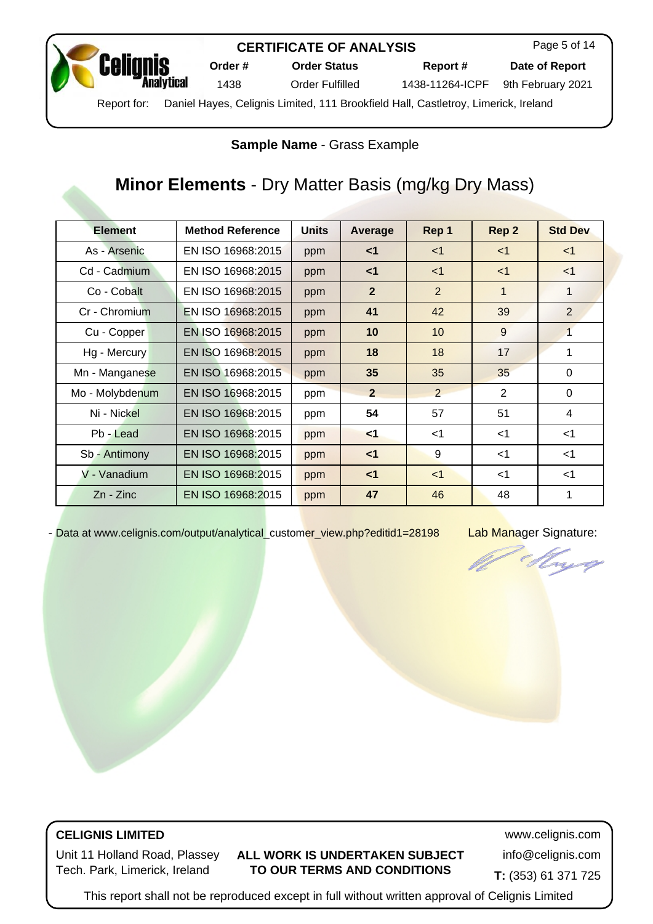

Page 5 of 14

**Order # Order Status Report # Date of Report**

1438 Order Fulfilled 1438-11264-ICPF 9th February 2021

Report for: Daniel Hayes, Celignis Limited, 111 Brookfield Hall, Castletroy, Limerick, Ireland

## **Sample Name** - [Grass Example](https://www.celignis.com/output/analytical_customer_view?editid1=28198)

# **Minor Elements** - Dry Matter Basis (mg/kg Dry Mass)

| <b>Element</b>  | <b>Method Reference</b> | <b>Units</b> | Average        | Rep 1          | Rep 2       | <b>Std Dev</b>          |
|-----------------|-------------------------|--------------|----------------|----------------|-------------|-------------------------|
| As - Arsenic    | EN ISO 16968:2015       | ppm          | $\leq$ 1       | $<$ 1          | $<$ 1       | $<$ 1                   |
| Cd - Cadmium    | EN ISO 16968:2015       | ppm          | $\leq$ 1       | $<$ 1          | $<$ 1       | $<$ 1                   |
| Co - Cobalt     | EN ISO 16968:2015       | ppm          | $\overline{2}$ | 2              | $\mathbf 1$ | 1                       |
| Cr - Chromium   | EN ISO 16968:2015       | ppm          | 41             | 42             | 39          | 2                       |
| Cu - Copper     | EN ISO 16968:2015       | ppm          | 10             | 10             | 9           | $\overline{1}$          |
| Hg - Mercury    | EN ISO 16968:2015       | ppm          | 18             | 18             | 17          | 1                       |
| Mn - Manganese  | EN ISO 16968:2015       | ppm          | 35             | 35             | 35          | $\Omega$                |
| Mo - Molybdenum | EN ISO 16968:2015       | ppm          | $\overline{2}$ | $\overline{2}$ | 2           | $\Omega$                |
| Ni - Nickel     | EN ISO 16968:2015       | ppm          | 54             | 57             | 51          | $\overline{\mathbf{4}}$ |
| Pb - Lead       | EN ISO 16968:2015       | ppm          | $1$            | $<$ 1          | $<$ 1       | $<$ 1                   |
| Sb - Antimony   | EN ISO 16968:2015       | ppm          | $<$ 1          | 9              | $<$ 1       | $<$ 1                   |
| V - Vanadium    | EN ISO 16968:2015       | ppm          | $\leq$ 1       | $<$ 1          | $<$ 1       | $<$ 1                   |
| $Zn - Zinc$     | EN ISO 16968:2015       | ppm          | 47             | 46             | 48          | 1                       |

- Data at [www.celignis.com/output/analytical\\_customer\\_view.php?editid1=28198](https://www.celignis.com/output/analytical_customer_view.php?editid1=28198) Lab Manager Signature:

tryg

# **CELIGNIS LIMITED** www.celignis.com

Unit 11 Holland Road, Plassey Tech. Park, Limerick, Ireland

### **ALL WORK IS UNDERTAKEN SUBJECT TO OUR TERMS AND CONDITIONS**

info@celignis.com

**T:** (353) 61 371 725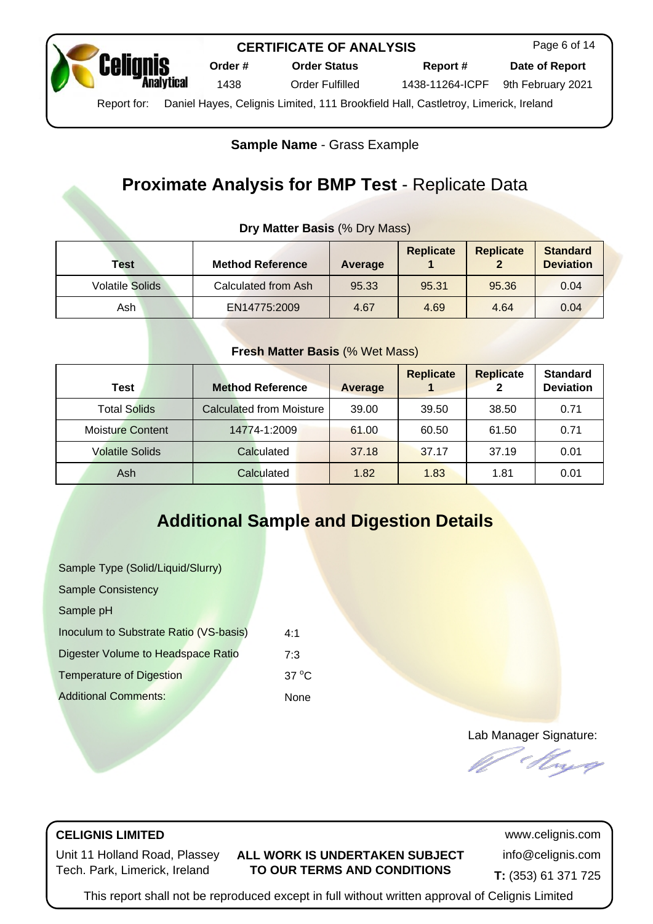

Page 6 of 14

**Order # Order Status Report # Date of Report**

1438 Order Fulfilled 1438-11264-ICPF 9th February 2021

Report for: Daniel Hayes, Celignis Limited, 111 Brookfield Hall, Castletroy, Limerick, Ireland

## **Sample Name** - [Grass Example](https://www.celignis.com/output/biogas_view?editid1=276)

# **Proximate Analysis for BMP Test** - Replicate Data

## **Dry Matter Basis** (% Dry Mass)

| Test                   | <b>Method Reference</b> | Average | <b>Replicate</b> | <b>Replicate</b> | <b>Standard</b><br><b>Deviation</b> |
|------------------------|-------------------------|---------|------------------|------------------|-------------------------------------|
| <b>Volatile Solids</b> | Calculated from Ash     | 95.33   | 95.31            | 95.36            | 0.04                                |
| Ash                    | EN14775:2009            | 4.67    | 4.69             | 4.64             | 0.04                                |

#### **Fresh Matter Basis** (% Wet Mass)

| <b>Test</b>             | <b>Method Reference</b>         | <b>Average</b> | <b>Replicate</b> | <b>Replicate</b> | <b>Standard</b><br><b>Deviation</b> |
|-------------------------|---------------------------------|----------------|------------------|------------------|-------------------------------------|
| <b>Total Solids</b>     | <b>Calculated from Moisture</b> | 39.00          | 39.50            | 38.50            | 0.71                                |
| <b>Moisture Content</b> | 14774-1:2009                    | 61.00          | 60.50            | 61.50            | 0.71                                |
| <b>Volatile Solids</b>  | Calculated                      | 37.18          | 37.17            | 37.19            | 0.01                                |
| Ash                     | Calculated                      | 1.82           | 1.83             | 1.81             | 0.01                                |

# **Additional Sample and Digestion Details**

| Sample Type (Solid/Liquid/Slurry)      |                         |
|----------------------------------------|-------------------------|
| <b>Sample Consistency</b>              |                         |
| Sample pH                              |                         |
| Inoculum to Substrate Ratio (VS-basis) | 4.1                     |
| Digester Volume to Headspace Ratio     | 7.3                     |
| <b>Temperature of Digestion</b>        | 37 $\mathrm{^{\circ}C}$ |
| <b>Additional Comments:</b>            | None                    |

Lab Manager Signature:

## **CELIGNIS LIMITED** www.celignis.com

Unit 11 Holland Road, Plassey Tech. Park, Limerick, Ireland

#### **ALL WORK IS UNDERTAKEN SUBJECT TO OUR TERMS AND CONDITIONS**

info@celignis.com **T:** (353) 61 371 725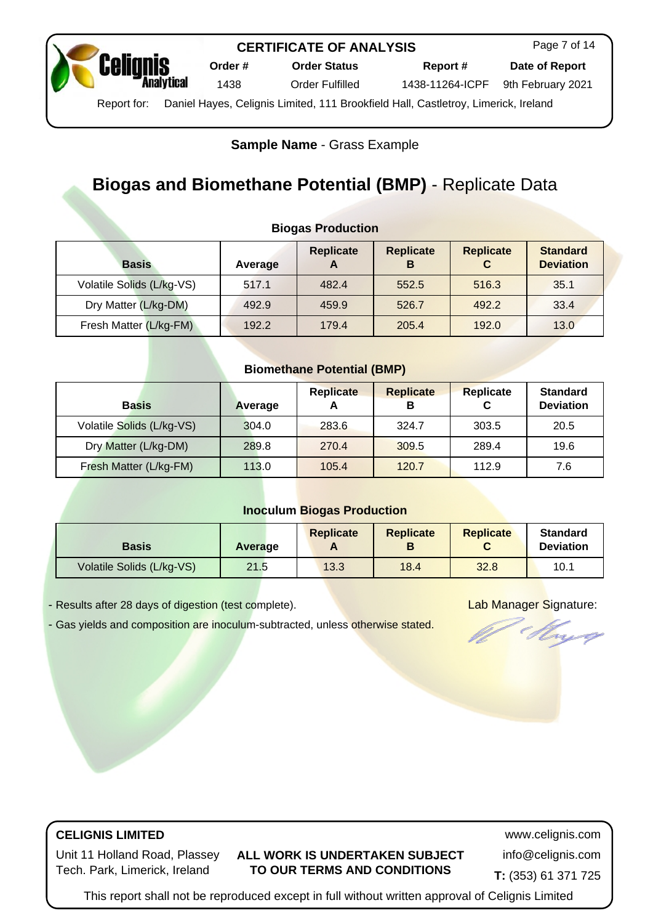

### **Sample Name** - [Grass Example](https://www.celignis.com/output/biogas_view?editid1=276)

# **Biogas and Biomethane Potential (BMP)** - Replicate Data

**Biogas Production**

| <b>Basis</b>              | Average | <b>Replicate</b><br>$\mathbf{A}$ | <b>Replicate</b><br>В | <b>Replicate</b><br>C | <b>Standard</b><br><b>Deviation</b> |  |  |
|---------------------------|---------|----------------------------------|-----------------------|-----------------------|-------------------------------------|--|--|
| Volatile Solids (L/kg-VS) | 517.1   | 482.4                            | 552.5                 | 516.3                 | 35.1                                |  |  |
| Dry Matter (L/kg-DM)      | 492.9   | 459.9                            | 526.7                 | 492.2                 | 33.4                                |  |  |
| Fresh Matter (L/kg-FM)    | 192.2   | 179.4                            | 205.4                 | 192.0                 | 13.0                                |  |  |

# **Biomethane Potential (BMP)**

| <b>Basis</b>              | Average | <b>Replicate</b><br>A | <b>Replicate</b><br>в | <b>Replicate</b> | <b>Standard</b><br><b>Deviation</b> |
|---------------------------|---------|-----------------------|-----------------------|------------------|-------------------------------------|
| Volatile Solids (L/kg-VS) | 304.0   | 283.6                 | 324.7                 | 303.5            | 20.5                                |
| Dry Matter (L/kg-DM)      | 289.8   | 270.4                 | 309.5                 | 289.4            | 19.6                                |
| Fresh Matter (L/kg-FM)    | 113.0   | 105.4                 | 120.7                 | 112.9            | 7.6                                 |

#### **Inoculum Biogas Production**

| <b>Basis</b>              | Average | <b>Replicate</b> | <b>Replicate</b><br>В | <b>Replicate</b> | <b>Standard</b><br><b>Deviation</b> |
|---------------------------|---------|------------------|-----------------------|------------------|-------------------------------------|
| Volatile Solids (L/kg-VS) | 21.5    | 13.3             | 18.4                  | 32.8             | 10.1                                |

- Results after 28 days of digestion (test complete). Lab Manager Signature:

- Gas yields and composition are inoculum-subtracted, unless otherwise stated.

mg

# **CELIGNIS LIMITED** www.celignis.com

Unit 11 Holland Road, Plassey Tech. Park, Limerick, Ireland

#### **ALL WORK IS UNDERTAKEN SUBJECT TO OUR TERMS AND CONDITIONS**

info@celignis.com

**T:** (353) 61 371 725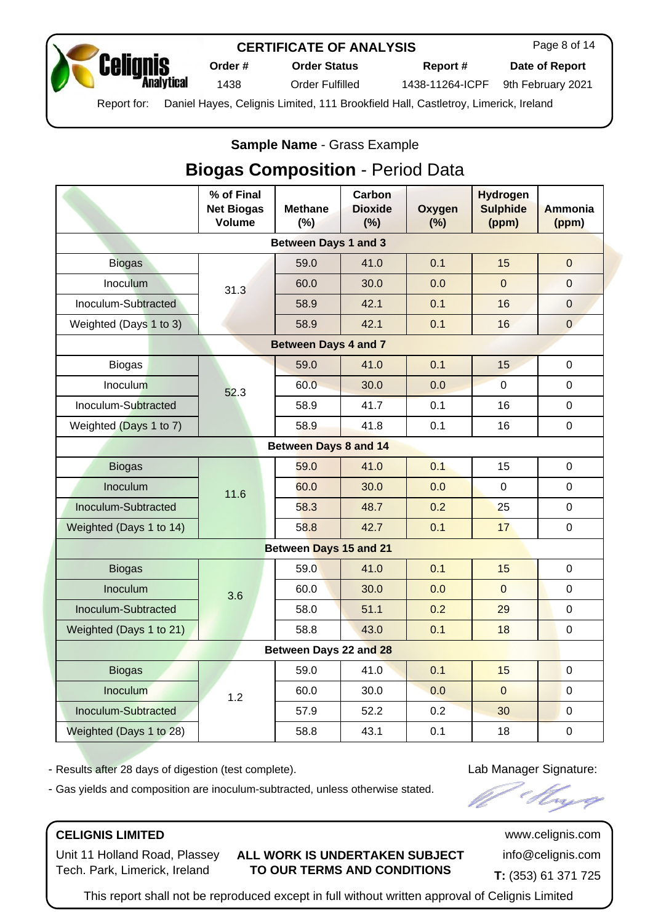

Page 8 of 14

**Order # Order Status Report # Date of Report**

1438 Order Fulfilled 1438-11264-ICPF 9th February 2021

Report for: Daniel Hayes, Celignis Limited, 111 Brookfield Hall, Castletroy, Limerick, Ireland

## **Sample Name** - [Grass Example](https://www.celignis.com/output/biogas_view?editid1=276)

# **Biogas Composition** - Period Data

|                         | % of Final<br><b>Net Biogas</b><br><b>Volume</b> | <b>Methane</b><br>(%)        | <b>Carbon</b><br><b>Dioxide</b><br>(%) | Oxygen<br>$(\%)$ | <b>Hydrogen</b><br><b>Sulphide</b><br>(ppm) | <b>Ammonia</b><br>(ppm) |
|-------------------------|--------------------------------------------------|------------------------------|----------------------------------------|------------------|---------------------------------------------|-------------------------|
|                         |                                                  | <b>Between Days 1 and 3</b>  |                                        |                  |                                             |                         |
| <b>Biogas</b>           |                                                  | 59.0                         | 41.0                                   | 0.1              | 15                                          | $\overline{0}$          |
| Inoculum                | 31.3                                             | 60.0                         | 30.0                                   | 0.0              | $\Omega$                                    | $\Omega$                |
| Inoculum-Subtracted     |                                                  | 58.9                         | 42.1                                   | 0.1              | 16                                          | $\Omega$                |
| Weighted (Days 1 to 3)  |                                                  | 58.9                         | 42.1                                   | 0.1              | 16                                          | $\overline{0}$          |
|                         |                                                  | <b>Between Days 4 and 7</b>  |                                        |                  |                                             |                         |
| <b>Biogas</b>           |                                                  | 59.0                         | 41.0                                   | 0.1              | 15                                          | $\mathbf 0$             |
| Inoculum                | 52.3                                             | 60.0                         | 30.0                                   | 0.0              | $\overline{0}$                              | $\Omega$                |
| Inoculum-Subtracted     |                                                  | 58.9                         | 41.7                                   | 0.1              | 16                                          | $\Omega$                |
| Weighted (Days 1 to 7)  |                                                  | 58.9                         | 41.8                                   | 0.1              | 16                                          | 0                       |
|                         |                                                  | <b>Between Days 8 and 14</b> |                                        |                  |                                             |                         |
| <b>Biogas</b>           |                                                  | 59.0                         | 41.0                                   | 0.1              | 15                                          | $\mathbf 0$             |
| Inoculum                | 11.6                                             | 60.0                         | 30.0                                   | 0.0              | 0                                           | 0                       |
| Inoculum-Subtracted     |                                                  | 58.3                         | 48.7                                   | 0.2              | 25                                          | 0                       |
| Weighted (Days 1 to 14) |                                                  | 58.8                         | 42.7                                   | 0.1              | 17                                          | $\mathbf 0$             |
|                         |                                                  | Between Days 15 and 21       |                                        |                  |                                             |                         |
| <b>Biogas</b>           |                                                  | 59.0                         | 41.0                                   | 0.1              | 15                                          | 0                       |
| Inoculum                | 3.6                                              | 60.0                         | 30.0                                   | 0.0              | $\overline{0}$                              | 0                       |
| Inoculum-Subtracted     |                                                  | 58.0                         | 51.1                                   | 0.2              | 29                                          | $\mathbf 0$             |
| Weighted (Days 1 to 21) |                                                  | 58.8                         | 43.0                                   | 0.1              | 18                                          | $\mathbf 0$             |
| Between Days 22 and 28  |                                                  |                              |                                        |                  |                                             |                         |
| <b>Biogas</b>           |                                                  | 59.0                         | 41.0                                   | 0.1              | 15                                          | $\Omega$                |
| Inoculum                | 1.2                                              | 60.0                         | 30.0                                   | 0.0              | $\overline{0}$                              | $\mathbf 0$             |
| Inoculum-Subtracted     |                                                  | 57.9                         | 52.2                                   | 0.2              | 30                                          | $\mathbf 0$             |
| Weighted (Days 1 to 28) |                                                  | 58.8                         | 43.1                                   | 0.1              | 18                                          | $\mathbf 0$             |

- Results after 28 days of digestion (test complete). The state of the United States and Lab Manager Signature:

- Gas yields and composition are inoculum-subtracted, unless otherwise stated.

## **CELIGNIS LIMITED** www.celignis.com

Unit 11 Holland Road, Plassey Tech. Park, Limerick, Ireland

#### **ALL WORK IS UNDERTAKEN SUBJECT TO OUR TERMS AND CONDITIONS**

info@celignis.com **T:** (353) 61 371 725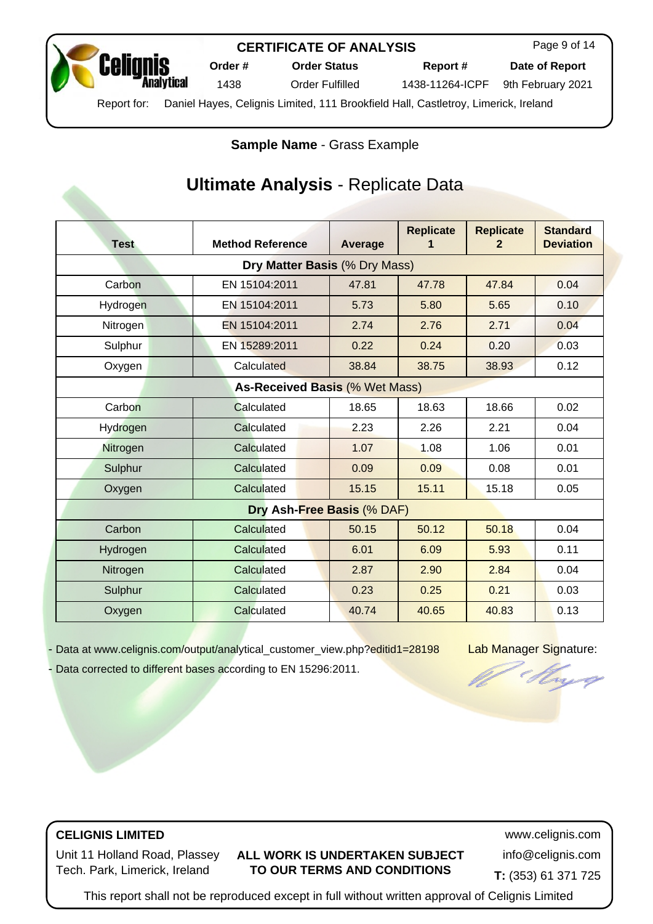

Page 9 of 14

**Order # Order Status Report # Date of Report**

1438 Order Fulfilled 1438-11264-ICPF 9th February 2021

Report for: Daniel Hayes, Celignis Limited, 111 Brookfield Hall, Castletroy, Limerick, Ireland

**Sample Name** - [Grass Example](https://www.celignis.com/output/analytical_customer_view?editid1=28198)

# **Ultimate Analysis** - Replicate Data

| <b>Test</b>                   | <b>Method Reference</b>               | Average | <b>Replicate</b><br>1 | <b>Replicate</b><br>$\overline{2}$ | <b>Standard</b><br><b>Deviation</b> |  |  |  |
|-------------------------------|---------------------------------------|---------|-----------------------|------------------------------------|-------------------------------------|--|--|--|
| Dry Matter Basis (% Dry Mass) |                                       |         |                       |                                    |                                     |  |  |  |
| Carbon                        | EN 15104:2011                         | 47.81   | 47.78                 | 47.84                              | 0.04                                |  |  |  |
| Hydrogen                      | EN 15104:2011                         | 5.73    | 5.80                  | 5.65                               | 0.10                                |  |  |  |
| Nitrogen                      | EN 15104:2011                         | 2.74    | 2.76                  | 2.71                               | 0.04                                |  |  |  |
| Sulphur                       | EN 15289:2011                         | 0.22    | 0.24                  | 0.20                               | 0.03                                |  |  |  |
| Oxygen                        | Calculated                            | 38.84   | 38.75                 | 38.93                              | 0.12                                |  |  |  |
|                               | <b>As-Received Basis (% Wet Mass)</b> |         |                       |                                    |                                     |  |  |  |
| Carbon                        | Calculated                            | 18.65   | 18.63                 | 18.66                              | 0.02                                |  |  |  |
| Hydrogen                      | Calculated                            | 2.23    | 2.26                  | 2.21                               | 0.04                                |  |  |  |
| Nitrogen                      | Calculated                            | 1.07    | 1.08                  | 1.06                               | 0.01                                |  |  |  |
| Sulphur                       | Calculated                            | 0.09    | 0.09                  | 0.08                               | 0.01                                |  |  |  |
| Oxygen                        | Calculated                            | 15.15   | 15.11                 | 15.18                              | 0.05                                |  |  |  |
|                               | Dry Ash-Free Basis (% DAF)            |         |                       |                                    |                                     |  |  |  |
| Carbon                        | Calculated                            | 50.15   | 50.12                 | 50.18                              | 0.04                                |  |  |  |
| Hydrogen                      | Calculated                            | 6.01    | 6.09                  | 5.93                               | 0.11                                |  |  |  |
| Nitrogen                      | Calculated                            | 2.87    | 2.90                  | 2.84                               | 0.04                                |  |  |  |
| Sulphur                       | Calculated                            | 0.23    | 0.25                  | 0.21                               | 0.03                                |  |  |  |
| Oxygen                        | Calculated                            | 40.74   | 40.65                 | 40.83                              | 0.13                                |  |  |  |

Data at [www.celignis.com/output/analytical\\_customer\\_view.php?editid1=28198](https://www.celignis.com/output/analytical_customer_view.php?editid1=28198) Lab Manager Signature: Data corrected to different bases according to EN 15296:2011.

Trug

**CELIGNIS LIMITED** www.celignis.com

Unit 11 Holland Road, Plassey Tech. Park, Limerick, Ireland

**ALL WORK IS UNDERTAKEN SUBJECT TO OUR TERMS AND CONDITIONS**

info@celignis.com

**T:** (353) 61 371 725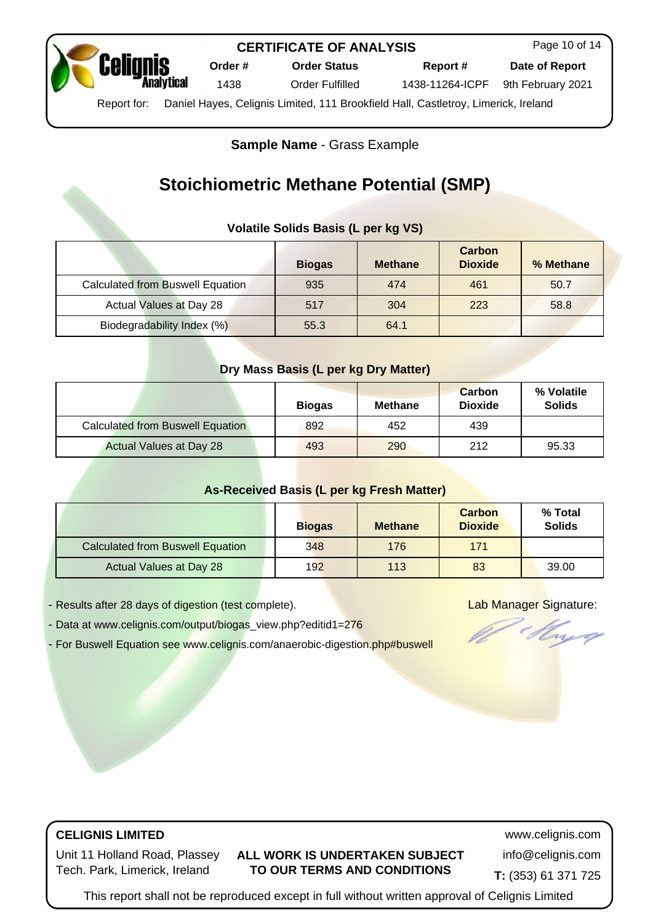

Page 10 of 14

**Order # Order Status Report # Date of Report**

1438 Order Fulfilled 1438-11264-ICPF 9th February 2021

Report for: Daniel Hayes, Celignis Limited, 111 Brookfield Hall, Castletroy, Limerick, Ireland

**Sample Name** - [Grass Example](https://www.celignis.com/output/biogas_view?editid1=276)

# **Stoichiometric Methane Potential (SMP)**

## **Volatile Solids Basis (L per kg VS)**

|                                         | <b>Biogas</b> | <b>Methane</b> | Carbon<br><b>Dioxide</b> | % Methane |
|-----------------------------------------|---------------|----------------|--------------------------|-----------|
| <b>Calculated from Buswell Equation</b> | 935           | 474            | 461                      | 50.7      |
| Actual Values at Day 28                 | 517           | 304            | 223                      | 58.8      |
| Biodegradability Index (%)              | 55.3          | 64.1           |                          |           |

#### **Dry Mass Basis (L per kg Dry Matter)**

|                                  | <b>Biogas</b> | <b>Methane</b> | <b>Carbon</b><br><b>Dioxide</b> | % Volatile<br><b>Solids</b> |
|----------------------------------|---------------|----------------|---------------------------------|-----------------------------|
| Calculated from Buswell Equation | 892           | 452            | 439                             |                             |
| <b>Actual Values at Day 28</b>   | 493           | 290            | 212                             | 95.33                       |

#### **As-Received Basis (L per kg Fresh Matter)**

|                                         | <b>Biogas</b> | <b>Methane</b> | <b>Carbon</b><br><b>Dioxide</b> | % Total<br><b>Solids</b> |
|-----------------------------------------|---------------|----------------|---------------------------------|--------------------------|
| <b>Calculated from Buswell Equation</b> | 348           | 176            | 171                             |                          |
| Actual Values at Day 28                 | 192           | 113            | 83                              | 39.00                    |

- Results after 28 days of digestion (test complete). Lab Manager Signature:

- Data at [www.celignis.com/output/biogas\\_view.php?editid1=276](https://www.celignis.com/output/biogas_view.php?editid1=276)

- For Buswell Equation see [www.celignis.com/anaerobic-digestion.php#buswell](https://www.celignis.com/anaerobic-digestion.php#buswell)



## **CELIGNIS LIMITED** www.celignis.com

Unit 11 Holland Road, Plassey Tech. Park, Limerick, Ireland

#### **ALL WORK IS UNDERTAKEN SUBJECT TO OUR TERMS AND CONDITIONS**

info@celignis.com **T:** (353) 61 371 725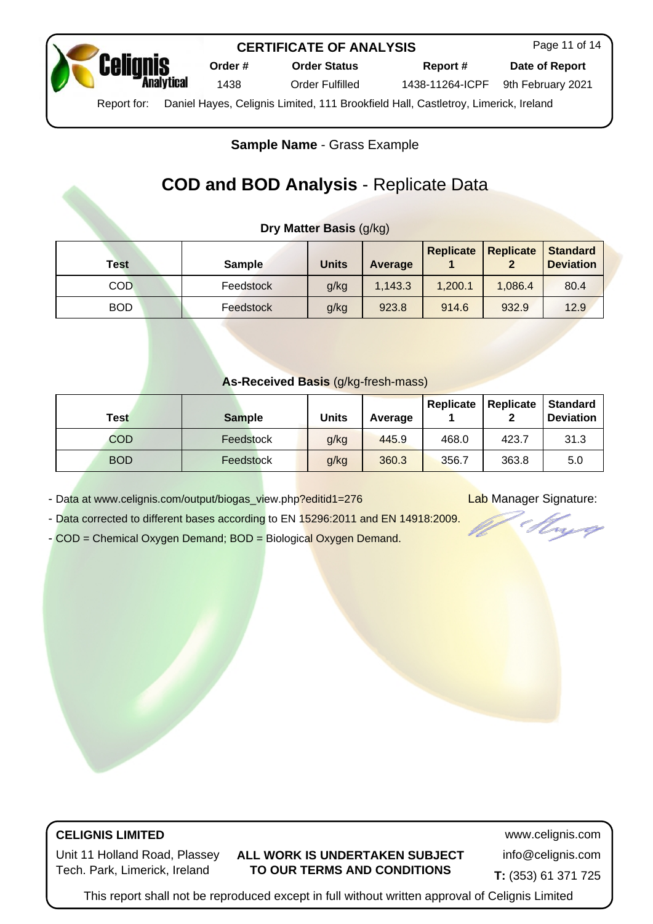

**Order # Order Status Report # Date of Report**

Page 11 of 14

1438 Order Fulfilled 1438-11264-ICPF 9th February 2021

Report for: Daniel Hayes, Celignis Limited, 111 Brookfield Hall, Castletroy, Limerick, Ireland

**Sample Name** - [Grass Example](https://www.celignis.com/output/biogas_view?editid1=276)

# **COD and BOD Analysis** - Replicate Data

## **Dry Matter Basis** (g/kg)

| <b>Test</b> | <b>Sample</b> | <b>Units</b> | Average | <b>Replicate</b> | <b>Replicate</b><br>◠ | Standard<br><b>Deviation</b> |
|-------------|---------------|--------------|---------|------------------|-----------------------|------------------------------|
| <b>COD</b>  | Feedstock     | g/kg         | 1,143.3 | 1,200.1          | 1.086.4               | 80.4                         |
| <b>BOD</b>  | Feedstock     | g/kg         | 923.8   | 914.6            | 932.9                 | 12.9                         |

#### **As-Received Basis** (g/kg-fresh-mass)

| Test       | <b>Sample</b> | Units | Average | Replicate | Replicate | <b>Standard</b><br><b>Deviation</b> |
|------------|---------------|-------|---------|-----------|-----------|-------------------------------------|
| <b>COD</b> | Feedstock     | g/kg  | 445.9   | 468.0     | 423.7     | 31.3                                |
| <b>BOD</b> | Feedstock     | g/kg  | 360.3   | 356.7     | 363.8     | 5.0                                 |

- Data at [www.celignis.com/output/biogas\\_view.php?editid1=276](https://www.celignis.com/output/biogas_view.php?editid1=276) Lab Manager Signature:

- Data corrected to different bases according to EN 15296:2011 and EN 14918:2009.

- [COD = Chemical Oxygen Demand;](https://www.celignis.com/analyte.php?value=142) [BOD = Biological Oxygen Demand](https://www.celignis.com/analyte.php?value=143).

# **CELIGNIS LIMITED** www.celignis.com

Unit 11 Holland Road, Plassey Tech. Park, Limerick, Ireland

#### **ALL WORK IS UNDERTAKEN SUBJECT TO OUR TERMS AND CONDITIONS**

info@celignis.com

**T:** (353) 61 371 725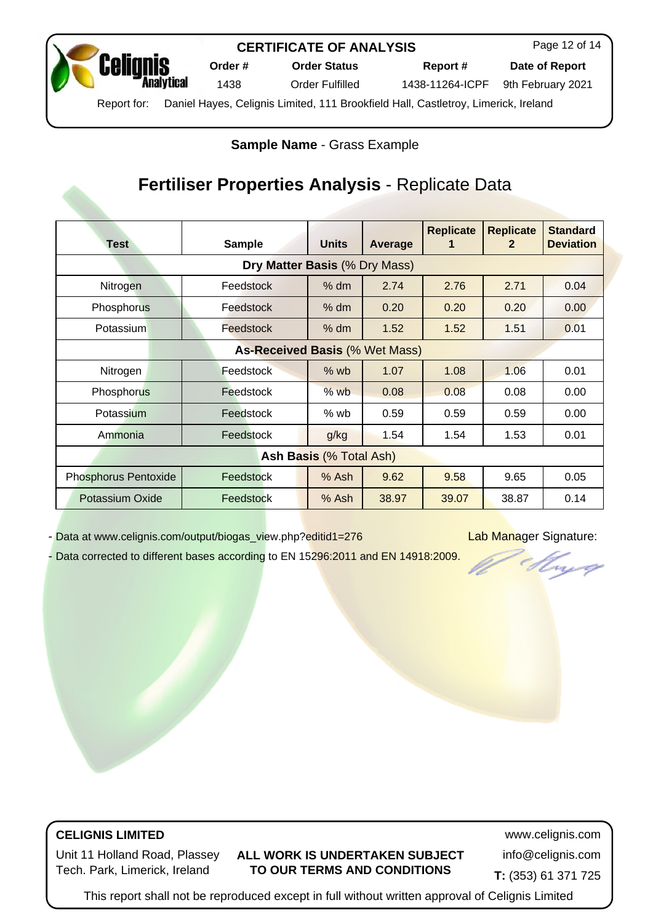

Page 12 of 14

**Order # Order Status Report # Date of Report**

1438 Order Fulfilled 1438-11264-ICPF 9th February 2021

Report for: Daniel Hayes, Celignis Limited, 111 Brookfield Hall, Castletroy, Limerick, Ireland

**Sample Name** - [Grass Example](https://www.celignis.com/output/biogas_view?editid1=276)

# **Fertiliser Properties Analysis** - Replicate Data

|                                       |                  |              |         | <b>Replicate</b> | <b>Replicate</b> | <b>Standard</b>  |  |  |
|---------------------------------------|------------------|--------------|---------|------------------|------------------|------------------|--|--|
| <b>Test</b>                           | <b>Sample</b>    | <b>Units</b> | Average |                  | 2                | <b>Deviation</b> |  |  |
| Dry Matter Basis (% Dry Mass)         |                  |              |         |                  |                  |                  |  |  |
| Nitrogen                              | Feedstock        | % dm         | 2.74    | 2.76             | 2.71             | 0.04             |  |  |
| Phosphorus                            | Feedstock        | % dm         | 0.20    | 0.20             | 0.20             | 0.00             |  |  |
| Potassium                             | Feedstock        | $%$ dm       | 1.52    | 1.52             | 1.51             | 0.01             |  |  |
| <b>As-Received Basis (% Wet Mass)</b> |                  |              |         |                  |                  |                  |  |  |
| Nitrogen                              | <b>Feedstock</b> | $%$ wb       | 1.07    | 1.08             | 1.06             | 0.01             |  |  |
| Phosphorus                            | Feedstock        | $%$ wb       | 0.08    | 0.08             | 0.08             | 0.00             |  |  |
| Potassium                             | Feedstock        | $%$ wb       | 0.59    | 0.59             | 0.59             | 0.00             |  |  |
| Ammonia                               | Feedstock        | g/kg         | 1.54    | 1.54             | 1.53             | 0.01             |  |  |
| Ash Basis (% Total Ash)               |                  |              |         |                  |                  |                  |  |  |
| <b>Phosphorus Pentoxide</b>           | Feedstock        | $%$ Ash      | 9.62    | 9.58             | 9.65             | 0.05             |  |  |
| Potassium Oxide                       | Feedstock        | $%$ Ash      | 38.97   | 39.07            | 38.87            | 0.14             |  |  |

- Data at [www.celignis.com/output/biogas\\_view.php?editid1=276](https://www.celignis.com/output/biogas_view.php?editid1=276) Lab Manager Signature:

vq

- Data corrected to different bases according to EN 15296:2011 and EN 14918:2009.

# **CELIGNIS LIMITED** www.celignis.com

Unit 11 Holland Road, Plassey Tech. Park, Limerick, Ireland

## **ALL WORK IS UNDERTAKEN SUBJECT TO OUR TERMS AND CONDITIONS**

info@celignis.com

**T:** (353) 61 371 725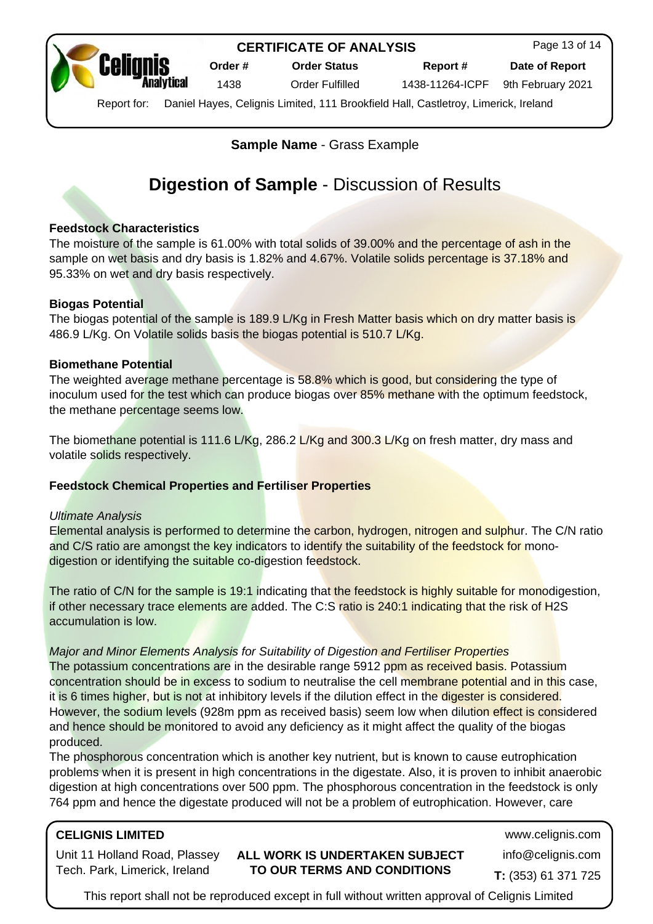

Page 13 of 14

**Order # Order Status Report # Date of Report**

1438 Order Fulfilled 1438-11264-ICPF 9th February 2021

Report for: Daniel Hayes, Celignis Limited, 111 Brookfield Hall, Castletroy, Limerick, Ireland

**Sample Name** - [Grass Example](https://www.celignis.com/output/biogas_view?editid1=276)

# **Digestion of Sample** - Discussion of Results

#### **Feedstock Characteristics**

The moisture of the sample is 61.00% with total solids of 39.00% and the percentage of ash in the sample on wet basis and dry basis is 1.82% and 4.67%. Volatile solids percentage is 37.18% and 95.33% on wet and dry basis respectively.

#### **Biogas Potential**

The biogas potential of the sample is 189.9 L/Kg in Fresh Matter basis which on dry matter basis is 486.9 L/Kg. On Volatile solids basis the biogas potential is 510.7 L/Kg.

#### **Biomethane Potential**

The weighted average methane percentage is 58.8% which is good, but considering the type of inoculum used for the test which can produce biogas over 85% methane with the optimum feedstock, the methane percentage seems low.

The biomethane potential is 111.6 L/Kg, 286.2 L/Kg and 300.3 L/Kg on fresh matter, dry mass and volatile solids respectively.

#### **Feedstock Chemical Properties and Fertiliser Properties**

#### Ultimate Analysis

Elemental analysis is performed to determine the carbon, hydrogen, nitrogen and sulphur. The C/N ratio and C/S ratio are amongst the key indicators to identify the suitability of the feedstock for monodigestion or identifying the suitable co-digestion feedstock.

The ratio of C/N for the sample is 19:1 indicating that the feedstock is highly suitable for monodigestion, if other necessary trace elements are added. The C:S ratio is 240:1 indicating that the risk of H2S accumulation is low.

#### Major and Minor Elements Analysis for Suitability of Digestion and Fertiliser Properties

The potassium concentrations are in the desirable range 5912 ppm as received basis. Potassium concentration should be in excess to sodium to neutralise the cell membrane potential and in this case, it is 6 times higher, but is not at inhibitory levels if the dilution effect in the digester is considered. However, the sodium levels (928m ppm as received basis) seem low when dilution effect is considered and hence should be monitored to avoid any deficiency as it might affect the quality of the biogas produced.

The phosphorous concentration which is another key nutrient, but is known to cause eutrophication problems when it is present in high concentrations in the digestate. Also, it is proven to inhibit anaerobic digestion at high concentrations over 500 ppm. The phosphorous concentration in the feedstock is only 764 ppm and hence the digestate produced will not be a problem of eutrophication. However, care

# **CELIGNIS LIMITED** www.celignis.com

Unit 11 Holland Road, Plassey Tech. Park, Limerick, Ireland

#### **ALL WORK IS UNDERTAKEN SUBJECT TO OUR TERMS AND CONDITIONS**

info@celignis.com

**T:** (353) 61 371 725